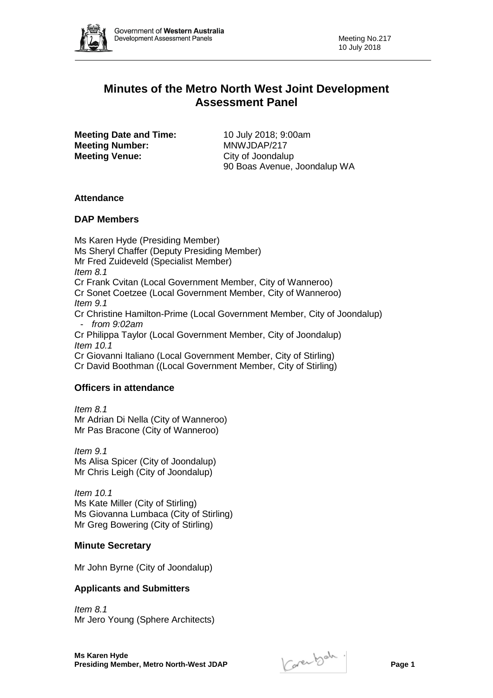

# **Minutes of the Metro North West Joint Development Assessment Panel**

**Meeting Date and Time:** 10 July 2018; 9:00am **Meeting Number:** MNWJDAP/217 **Meeting Venue:** City of Joondalup

90 Boas Avenue, Joondalup WA

## **Attendance**

## **DAP Members**

Ms Karen Hyde (Presiding Member) Ms Sheryl Chaffer (Deputy Presiding Member) Mr Fred Zuideveld (Specialist Member) *Item 8.1* Cr Frank Cvitan (Local Government Member, City of Wanneroo) Cr Sonet Coetzee (Local Government Member, City of Wanneroo) *Item 9.1* Cr Christine Hamilton-Prime (Local Government Member, City of Joondalup) - *from 9:02am* Cr Philippa Taylor (Local Government Member, City of Joondalup) *Item 10.1* Cr Giovanni Italiano (Local Government Member, City of Stirling) Cr David Boothman ((Local Government Member, City of Stirling)

## **Officers in attendance**

*Item 8.1* Mr Adrian Di Nella (City of Wanneroo) Mr Pas Bracone (City of Wanneroo)

*Item 9.1* Ms Alisa Spicer (City of Joondalup) Mr Chris Leigh (City of Joondalup)

*Item 10.1* Ms Kate Miller (City of Stirling) Ms Giovanna Lumbaca (City of Stirling) Mr Greg Bowering (City of Stirling)

## **Minute Secretary**

Mr John Byrne (City of Joondalup)

## **Applicants and Submitters**

*Item 8.1* Mr Jero Young (Sphere Architects)

**Ms Karen Hyde Presiding Member, Metro North-West JDAP Page 1**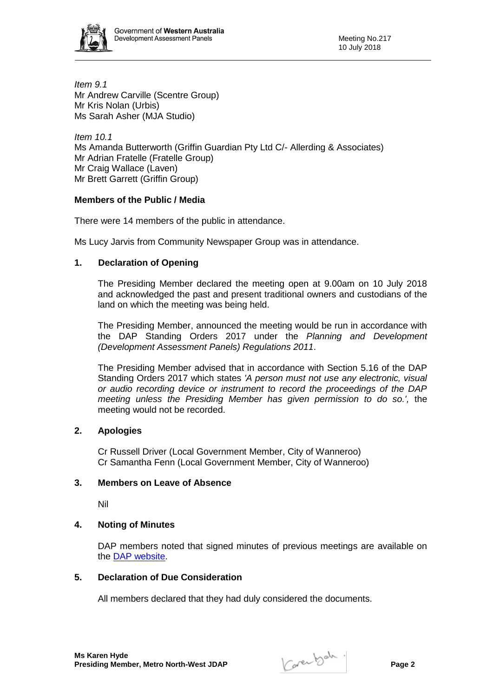

*Item 9.1* Mr Andrew Carville (Scentre Group) Mr Kris Nolan (Urbis) Ms Sarah Asher (MJA Studio)

*Item 10.1* Ms Amanda Butterworth (Griffin Guardian Pty Ltd C/- Allerding & Associates) Mr Adrian Fratelle (Fratelle Group) Mr Craig Wallace (Laven) Mr Brett Garrett (Griffin Group)

## **Members of the Public / Media**

There were 14 members of the public in attendance.

Ms Lucy Jarvis from Community Newspaper Group was in attendance.

#### **1. Declaration of Opening**

The Presiding Member declared the meeting open at 9.00am on 10 July 2018 and acknowledged the past and present traditional owners and custodians of the land on which the meeting was being held.

The Presiding Member, announced the meeting would be run in accordance with the DAP Standing Orders 2017 under the *Planning and Development (Development Assessment Panels) Regulations 2011*.

The Presiding Member advised that in accordance with Section 5.16 of the DAP Standing Orders 2017 which states *'A person must not use any electronic, visual or audio recording device or instrument to record the proceedings of the DAP meeting unless the Presiding Member has given permission to do so.',* the meeting would not be recorded.

#### **2. Apologies**

Cr Russell Driver (Local Government Member, City of Wanneroo) Cr Samantha Fenn (Local Government Member, City of Wanneroo)

#### **3. Members on Leave of Absence**

Nil

## **4. Noting of Minutes**

DAP members noted that signed minutes of previous meetings are available on the [DAP website.](https://www.planning.wa.gov.au/7578.aspx)

#### **5. Declaration of Due Consideration**

All members declared that they had duly considered the documents.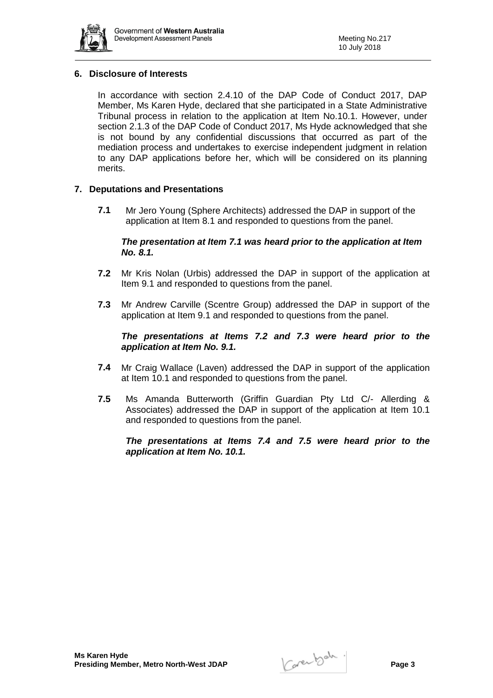

## **6. Disclosure of Interests**

In accordance with section 2.4.10 of the DAP Code of Conduct 2017, DAP Member, Ms Karen Hyde, declared that she participated in a State Administrative Tribunal process in relation to the application at Item No.10.1. However, under section 2.1.3 of the DAP Code of Conduct 2017, Ms Hyde acknowledged that she is not bound by any confidential discussions that occurred as part of the mediation process and undertakes to exercise independent judgment in relation to any DAP applications before her, which will be considered on its planning merits.

#### **7. Deputations and Presentations**

**7.1** Mr Jero Young (Sphere Architects) addressed the DAP in support of the application at Item 8.1 and responded to questions from the panel.

#### *The presentation at Item 7.1 was heard prior to the application at Item No. 8.1.*

- **7.2** Mr Kris Nolan (Urbis) addressed the DAP in support of the application at Item 9.1 and responded to questions from the panel.
- **7.3** Mr Andrew Carville (Scentre Group) addressed the DAP in support of the application at Item 9.1 and responded to questions from the panel.

## *The presentations at Items 7.2 and 7.3 were heard prior to the application at Item No. 9.1.*

- **7.4** Mr Craig Wallace (Laven) addressed the DAP in support of the application at Item 10.1 and responded to questions from the panel.
- **7.5** Ms Amanda Butterworth (Griffin Guardian Pty Ltd C/- Allerding & Associates) addressed the DAP in support of the application at Item 10.1 and responded to questions from the panel.

*The presentations at Items 7.4 and 7.5 were heard prior to the application at Item No. 10.1.*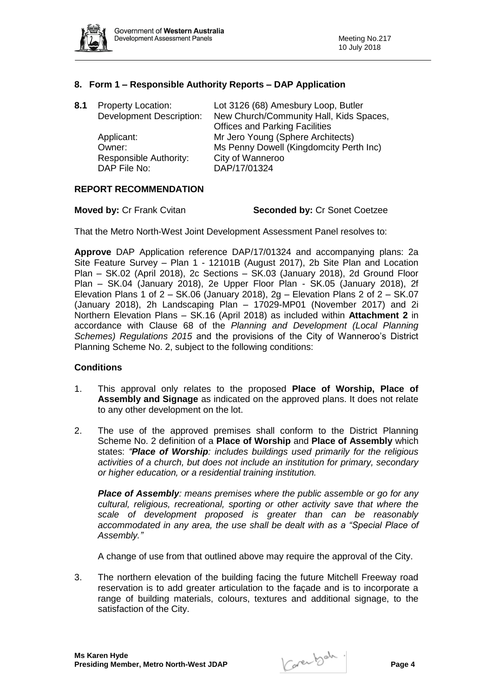

## **8. Form 1 – Responsible Authority Reports – DAP Application**

| 8.1 | <b>Property Location:</b><br><b>Development Description:</b> | Lot 3126 (68) Amesbury Loop, Butler<br>New Church/Community Hall, Kids Spaces,<br><b>Offices and Parking Facilities</b> |
|-----|--------------------------------------------------------------|-------------------------------------------------------------------------------------------------------------------------|
|     | Applicant:<br>Owner:                                         | Mr Jero Young (Sphere Architects)<br>Ms Penny Dowell (Kingdomcity Perth Inc)                                            |
|     | Responsible Authority:<br>DAP File No:                       | City of Wanneroo<br>DAP/17/01324                                                                                        |

#### **REPORT RECOMMENDATION**

| <b>Moved by: Cr Frank Cvitan</b> | <b>Seconded by: Cr Sonet Coetzee</b> |
|----------------------------------|--------------------------------------|
|----------------------------------|--------------------------------------|

That the Metro North-West Joint Development Assessment Panel resolves to:

**Approve** DAP Application reference DAP/17/01324 and accompanying plans: 2a Site Feature Survey – Plan 1 - 12101B (August 2017), 2b Site Plan and Location Plan – SK.02 (April 2018), 2c Sections – SK.03 (January 2018), 2d Ground Floor Plan – SK.04 (January 2018), 2e Upper Floor Plan - SK.05 (January 2018), 2f Elevation Plans 1 of  $2 - SK.06$  (January 2018),  $2g - E$ levation Plans 2 of  $2 - SK.07$ (January 2018), 2h Landscaping Plan – 17029-MP01 (November 2017) and 2i Northern Elevation Plans – SK.16 (April 2018) as included within **Attachment 2** in accordance with Clause 68 of the *Planning and Development (Local Planning Schemes) Regulations 2015* and the provisions of the City of Wanneroo's District Planning Scheme No. 2, subject to the following conditions:

#### **Conditions**

- 1. This approval only relates to the proposed **Place of Worship, Place of Assembly and Signage** as indicated on the approved plans. It does not relate to any other development on the lot.
- 2. The use of the approved premises shall conform to the District Planning Scheme No. 2 definition of a **Place of Worship** and **Place of Assembly** which states: *"Place of Worship: includes buildings used primarily for the religious activities of a church, but does not include an institution for primary, secondary or higher education, or a residential training institution.*

*Place of Assembly: means premises where the public assemble or go for any cultural, religious, recreational, sporting or other activity save that where the scale of development proposed is greater than can be reasonably accommodated in any area, the use shall be dealt with as a "Special Place of Assembly."*

A change of use from that outlined above may require the approval of the City.

3. The northern elevation of the building facing the future Mitchell Freeway road reservation is to add greater articulation to the façade and is to incorporate a range of building materials, colours, textures and additional signage, to the satisfaction of the City.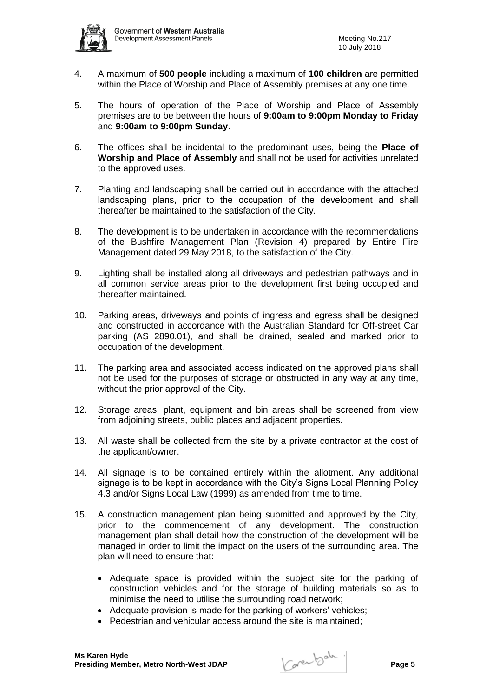

- 4. A maximum of **500 people** including a maximum of **100 children** are permitted within the Place of Worship and Place of Assembly premises at any one time.
- 5. The hours of operation of the Place of Worship and Place of Assembly premises are to be between the hours of **9:00am to 9:00pm Monday to Friday**  and **9:00am to 9:00pm Sunday**.
- 6. The offices shall be incidental to the predominant uses, being the **Place of Worship and Place of Assembly** and shall not be used for activities unrelated to the approved uses.
- 7. Planting and landscaping shall be carried out in accordance with the attached landscaping plans, prior to the occupation of the development and shall thereafter be maintained to the satisfaction of the City.
- 8. The development is to be undertaken in accordance with the recommendations of the Bushfire Management Plan (Revision 4) prepared by Entire Fire Management dated 29 May 2018, to the satisfaction of the City.
- 9. Lighting shall be installed along all driveways and pedestrian pathways and in all common service areas prior to the development first being occupied and thereafter maintained.
- 10. Parking areas, driveways and points of ingress and egress shall be designed and constructed in accordance with the Australian Standard for Off-street Car parking (AS 2890.01), and shall be drained, sealed and marked prior to occupation of the development.
- 11. The parking area and associated access indicated on the approved plans shall not be used for the purposes of storage or obstructed in any way at any time, without the prior approval of the City.
- 12. Storage areas, plant, equipment and bin areas shall be screened from view from adjoining streets, public places and adjacent properties.
- 13. All waste shall be collected from the site by a private contractor at the cost of the applicant/owner.
- 14. All signage is to be contained entirely within the allotment. Any additional signage is to be kept in accordance with the City's Signs Local Planning Policy 4.3 and/or Signs Local Law (1999) as amended from time to time.
- 15. A construction management plan being submitted and approved by the City, prior to the commencement of any development. The construction management plan shall detail how the construction of the development will be managed in order to limit the impact on the users of the surrounding area. The plan will need to ensure that:
	- Adequate space is provided within the subject site for the parking of construction vehicles and for the storage of building materials so as to minimise the need to utilise the surrounding road network;
	- Adequate provision is made for the parking of workers' vehicles;
	- Pedestrian and vehicular access around the site is maintained;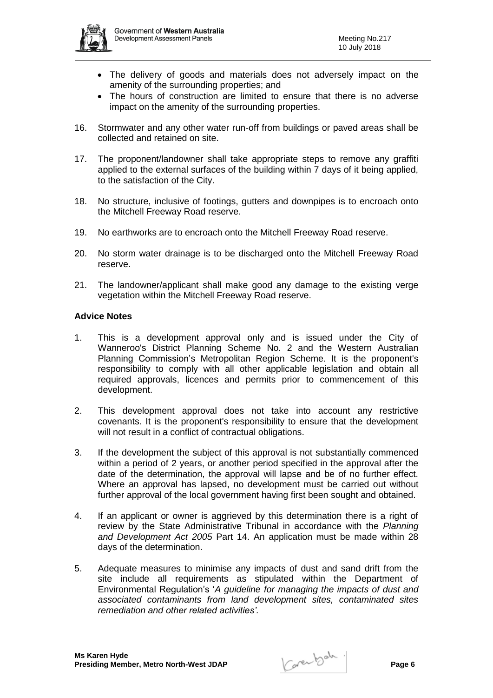

- The delivery of goods and materials does not adversely impact on the amenity of the surrounding properties; and
- The hours of construction are limited to ensure that there is no adverse impact on the amenity of the surrounding properties.
- 16. Stormwater and any other water run-off from buildings or paved areas shall be collected and retained on site.
- 17. The proponent/landowner shall take appropriate steps to remove any graffiti applied to the external surfaces of the building within 7 days of it being applied, to the satisfaction of the City.
- 18. No structure, inclusive of footings, gutters and downpipes is to encroach onto the Mitchell Freeway Road reserve.
- 19. No earthworks are to encroach onto the Mitchell Freeway Road reserve.
- 20. No storm water drainage is to be discharged onto the Mitchell Freeway Road reserve.
- 21. The landowner/applicant shall make good any damage to the existing verge vegetation within the Mitchell Freeway Road reserve.

#### **Advice Notes**

- 1. This is a development approval only and is issued under the City of Wanneroo's District Planning Scheme No. 2 and the Western Australian Planning Commission's Metropolitan Region Scheme. It is the proponent's responsibility to comply with all other applicable legislation and obtain all required approvals, licences and permits prior to commencement of this development.
- 2. This development approval does not take into account any restrictive covenants. It is the proponent's responsibility to ensure that the development will not result in a conflict of contractual obligations.
- 3. If the development the subject of this approval is not substantially commenced within a period of 2 years, or another period specified in the approval after the date of the determination, the approval will lapse and be of no further effect. Where an approval has lapsed, no development must be carried out without further approval of the local government having first been sought and obtained.
- 4. If an applicant or owner is aggrieved by this determination there is a right of review by the State Administrative Tribunal in accordance with the *Planning and Development Act 2005* Part 14. An application must be made within 28 days of the determination.
- 5. Adequate measures to minimise any impacts of dust and sand drift from the site include all requirements as stipulated within the Department of Environmental Regulation's '*A guideline for managing the impacts of dust and associated contaminants from land development sites, contaminated sites remediation and other related activities'.*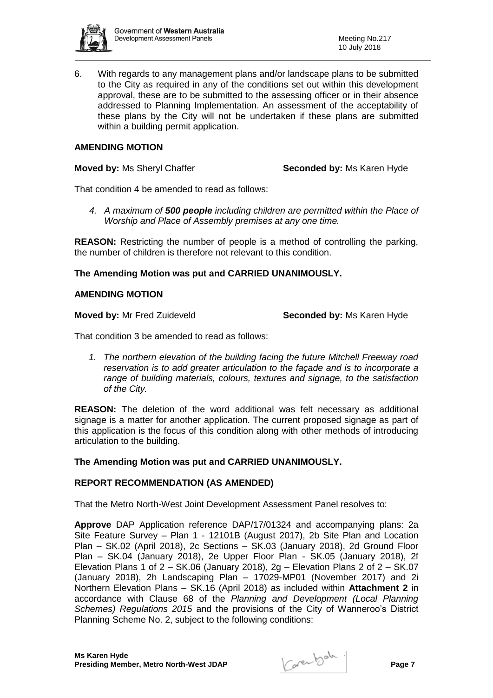

6. With regards to any management plans and/or landscape plans to be submitted to the City as required in any of the conditions set out within this development approval, these are to be submitted to the assessing officer or in their absence addressed to Planning Implementation. An assessment of the acceptability of these plans by the City will not be undertaken if these plans are submitted within a building permit application.

### **AMENDING MOTION**

**Moved by:** Ms Sheryl Chaffer **Seconded by:** Ms Karen Hyde

That condition 4 be amended to read as follows:

*4. A maximum of 500 people including children are permitted within the Place of Worship and Place of Assembly premises at any one time.*

**REASON:** Restricting the number of people is a method of controlling the parking, the number of children is therefore not relevant to this condition.

#### **The Amending Motion was put and CARRIED UNANIMOUSLY.**

### **AMENDING MOTION**

**Moved by:** Mr Fred Zuideveld **Seconded by:** Ms Karen Hyde

That condition 3 be amended to read as follows:

*1. The northern elevation of the building facing the future Mitchell Freeway road reservation is to add greater articulation to the façade and is to incorporate a range of building materials, colours, textures and signage, to the satisfaction of the City.*

**REASON:** The deletion of the word additional was felt necessary as additional signage is a matter for another application. The current proposed signage as part of this application is the focus of this condition along with other methods of introducing articulation to the building.

## **The Amending Motion was put and CARRIED UNANIMOUSLY.**

## **REPORT RECOMMENDATION (AS AMENDED)**

That the Metro North-West Joint Development Assessment Panel resolves to:

**Approve** DAP Application reference DAP/17/01324 and accompanying plans: 2a Site Feature Survey – Plan 1 - 12101B (August 2017), 2b Site Plan and Location Plan – SK.02 (April 2018), 2c Sections – SK.03 (January 2018), 2d Ground Floor Plan – SK.04 (January 2018), 2e Upper Floor Plan - SK.05 (January 2018), 2f Elevation Plans 1 of  $2 - SK.06$  (January 2018),  $2q - E$  levation Plans 2 of  $2 - SK.07$ (January 2018), 2h Landscaping Plan – 17029-MP01 (November 2017) and 2i Northern Elevation Plans – SK.16 (April 2018) as included within **Attachment 2** in accordance with Clause 68 of the *Planning and Development (Local Planning Schemes) Regulations 2015* and the provisions of the City of Wanneroo's District Planning Scheme No. 2, subject to the following conditions: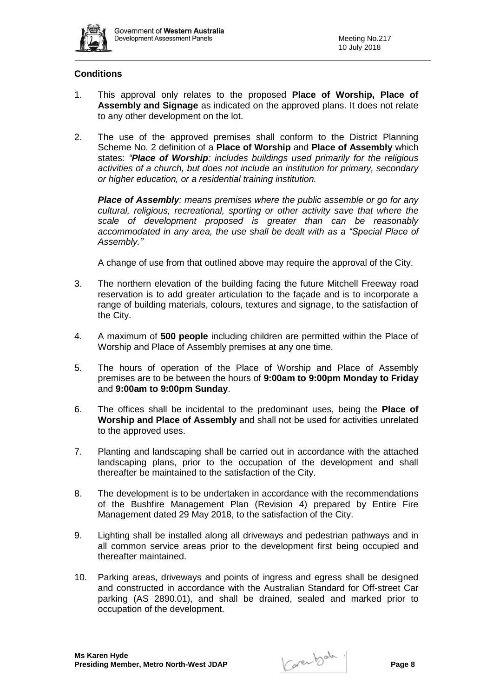

## **Conditions**

- 1. This approval only relates to the proposed **Place of Worship, Place of Assembly and Signage** as indicated on the approved plans. It does not relate to any other development on the lot.
- 2. The use of the approved premises shall conform to the District Planning Scheme No. 2 definition of a **Place of Worship** and **Place of Assembly** which states: *"Place of Worship: includes buildings used primarily for the religious activities of a church, but does not include an institution for primary, secondary or higher education, or a residential training institution.*

*Place of Assembly: means premises where the public assemble or go for any cultural, religious, recreational, sporting or other activity save that where the scale of development proposed is greater than can be reasonably accommodated in any area, the use shall be dealt with as a "Special Place of Assembly."*

A change of use from that outlined above may require the approval of the City.

- 3. The northern elevation of the building facing the future Mitchell Freeway road reservation is to add greater articulation to the façade and is to incorporate a range of building materials, colours, textures and signage, to the satisfaction of the City.
- 4. A maximum of **500 people** including children are permitted within the Place of Worship and Place of Assembly premises at any one time.
- 5. The hours of operation of the Place of Worship and Place of Assembly premises are to be between the hours of **9:00am to 9:00pm Monday to Friday**  and **9:00am to 9:00pm Sunday**.
- 6. The offices shall be incidental to the predominant uses, being the **Place of Worship and Place of Assembly** and shall not be used for activities unrelated to the approved uses.
- 7. Planting and landscaping shall be carried out in accordance with the attached landscaping plans, prior to the occupation of the development and shall thereafter be maintained to the satisfaction of the City.
- 8. The development is to be undertaken in accordance with the recommendations of the Bushfire Management Plan (Revision 4) prepared by Entire Fire Management dated 29 May 2018, to the satisfaction of the City.
- 9. Lighting shall be installed along all driveways and pedestrian pathways and in all common service areas prior to the development first being occupied and thereafter maintained.
- 10. Parking areas, driveways and points of ingress and egress shall be designed and constructed in accordance with the Australian Standard for Off-street Car parking (AS 2890.01), and shall be drained, sealed and marked prior to occupation of the development.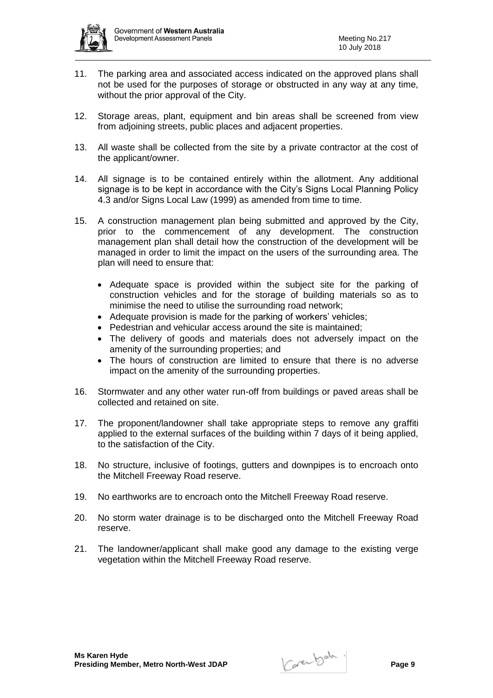

- 11. The parking area and associated access indicated on the approved plans shall not be used for the purposes of storage or obstructed in any way at any time, without the prior approval of the City.
- 12. Storage areas, plant, equipment and bin areas shall be screened from view from adjoining streets, public places and adjacent properties.
- 13. All waste shall be collected from the site by a private contractor at the cost of the applicant/owner.
- 14. All signage is to be contained entirely within the allotment. Any additional signage is to be kept in accordance with the City's Signs Local Planning Policy 4.3 and/or Signs Local Law (1999) as amended from time to time.
- 15. A construction management plan being submitted and approved by the City, prior to the commencement of any development. The construction management plan shall detail how the construction of the development will be managed in order to limit the impact on the users of the surrounding area. The plan will need to ensure that:
	- Adequate space is provided within the subject site for the parking of construction vehicles and for the storage of building materials so as to minimise the need to utilise the surrounding road network;
	- Adequate provision is made for the parking of workers' vehicles:
	- Pedestrian and vehicular access around the site is maintained:
	- The delivery of goods and materials does not adversely impact on the amenity of the surrounding properties; and
	- The hours of construction are limited to ensure that there is no adverse impact on the amenity of the surrounding properties.
- 16. Stormwater and any other water run-off from buildings or paved areas shall be collected and retained on site.
- 17. The proponent/landowner shall take appropriate steps to remove any graffiti applied to the external surfaces of the building within 7 days of it being applied, to the satisfaction of the City.
- 18. No structure, inclusive of footings, gutters and downpipes is to encroach onto the Mitchell Freeway Road reserve.
- 19. No earthworks are to encroach onto the Mitchell Freeway Road reserve.
- 20. No storm water drainage is to be discharged onto the Mitchell Freeway Road reserve.
- 21. The landowner/applicant shall make good any damage to the existing verge vegetation within the Mitchell Freeway Road reserve.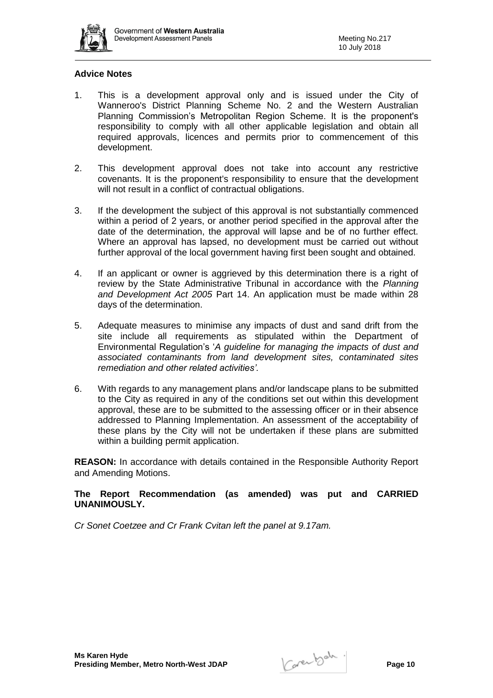

## **Advice Notes**

- 1. This is a development approval only and is issued under the City of Wanneroo's District Planning Scheme No. 2 and the Western Australian Planning Commission's Metropolitan Region Scheme. It is the proponent's responsibility to comply with all other applicable legislation and obtain all required approvals, licences and permits prior to commencement of this development.
- 2. This development approval does not take into account any restrictive covenants. It is the proponent's responsibility to ensure that the development will not result in a conflict of contractual obligations.
- 3. If the development the subject of this approval is not substantially commenced within a period of 2 years, or another period specified in the approval after the date of the determination, the approval will lapse and be of no further effect. Where an approval has lapsed, no development must be carried out without further approval of the local government having first been sought and obtained.
- 4. If an applicant or owner is aggrieved by this determination there is a right of review by the State Administrative Tribunal in accordance with the *Planning and Development Act 2005* Part 14. An application must be made within 28 days of the determination.
- 5. Adequate measures to minimise any impacts of dust and sand drift from the site include all requirements as stipulated within the Department of Environmental Regulation's '*A guideline for managing the impacts of dust and associated contaminants from land development sites, contaminated sites remediation and other related activities'.*
- 6. With regards to any management plans and/or landscape plans to be submitted to the City as required in any of the conditions set out within this development approval, these are to be submitted to the assessing officer or in their absence addressed to Planning Implementation. An assessment of the acceptability of these plans by the City will not be undertaken if these plans are submitted within a building permit application.

**REASON:** In accordance with details contained in the Responsible Authority Report and Amending Motions.

**The Report Recommendation (as amended) was put and CARRIED UNANIMOUSLY.**

*Cr Sonet Coetzee and Cr Frank Cvitan left the panel at 9.17am.*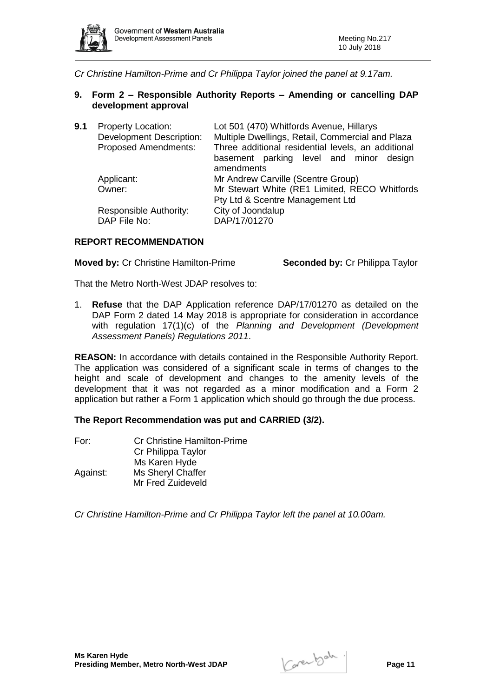

*Cr Christine Hamilton-Prime and Cr Philippa Taylor joined the panel at 9.17am.*

**9. Form 2 – Responsible Authority Reports – Amending or cancelling DAP development approval**

| 9.1 | <b>Property Location:</b><br><b>Development Description:</b><br><b>Proposed Amendments:</b> | Lot 501 (470) Whitfords Avenue, Hillarys<br>Multiple Dwellings, Retail, Commercial and Plaza<br>Three additional residential levels, an additional |  |
|-----|---------------------------------------------------------------------------------------------|----------------------------------------------------------------------------------------------------------------------------------------------------|--|
|     |                                                                                             | basement parking level and minor design<br>amendments                                                                                              |  |
|     | Applicant:                                                                                  | Mr Andrew Carville (Scentre Group)                                                                                                                 |  |
|     | Owner:                                                                                      | Mr Stewart White (RE1 Limited, RECO Whitfords<br>Pty Ltd & Scentre Management Ltd                                                                  |  |
|     | Responsible Authority:<br>DAP File No:                                                      | City of Joondalup<br>DAP/17/01270                                                                                                                  |  |

#### **REPORT RECOMMENDATION**

**Moved by:** Cr Christine Hamilton-Prime **Seconded by:** Cr Philippa Taylor

That the Metro North-West JDAP resolves to:

1. **Refuse** that the DAP Application reference DAP/17/01270 as detailed on the DAP Form 2 dated 14 May 2018 is appropriate for consideration in accordance with regulation 17(1)(c) of the *Planning and Development (Development Assessment Panels) Regulations 2011*.

**REASON:** In accordance with details contained in the Responsible Authority Report. The application was considered of a significant scale in terms of changes to the height and scale of development and changes to the amenity levels of the development that it was not regarded as a minor modification and a Form 2 application but rather a Form 1 application which should go through the due process.

## **The Report Recommendation was put and CARRIED (3/2).**

| For:     | <b>Cr Christine Hamilton-Prime</b> |
|----------|------------------------------------|
|          | Cr Philippa Taylor                 |
|          | Ms Karen Hyde                      |
| Against: | Ms Sheryl Chaffer                  |
|          | Mr Fred Zuideveld                  |

*Cr Christine Hamilton-Prime and Cr Philippa Taylor left the panel at 10.00am.*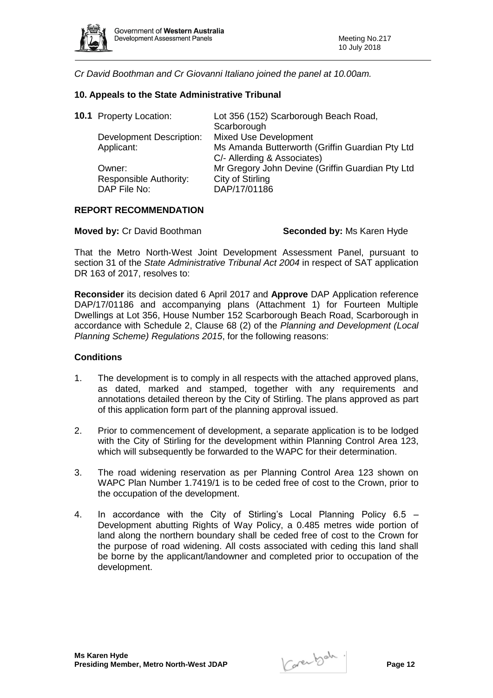

*Cr David Boothman and Cr Giovanni Italiano joined the panel at 10.00am.*

### **10. Appeals to the State Administrative Tribunal**

| <b>10.1</b> Property Location:  | Lot 356 (152) Scarborough Beach Road,            |
|---------------------------------|--------------------------------------------------|
|                                 | Scarborough                                      |
| <b>Development Description:</b> | <b>Mixed Use Development</b>                     |
| Applicant:                      | Ms Amanda Butterworth (Griffin Guardian Pty Ltd  |
|                                 | C/- Allerding & Associates)                      |
| Owner:                          | Mr Gregory John Devine (Griffin Guardian Pty Ltd |
| Responsible Authority:          | City of Stirling                                 |
| DAP File No:                    | DAP/17/01186                                     |
|                                 |                                                  |

#### **REPORT RECOMMENDATION**

**Moved by: Cr David Boothman <b>Seconded by:** Ms Karen Hyde

That the Metro North-West Joint Development Assessment Panel, pursuant to section 31 of the *State Administrative Tribunal Act 2004* in respect of SAT application DR 163 of 2017, resolves to:

**Reconsider** its decision dated 6 April 2017 and **Approve** DAP Application reference DAP/17/01186 and accompanying plans (Attachment 1) for Fourteen Multiple Dwellings at Lot 356, House Number 152 Scarborough Beach Road, Scarborough in accordance with Schedule 2, Clause 68 (2) of the *Planning and Development (Local Planning Scheme) Regulations 2015*, for the following reasons:

#### **Conditions**

- 1. The development is to comply in all respects with the attached approved plans, as dated, marked and stamped, together with any requirements and annotations detailed thereon by the City of Stirling. The plans approved as part of this application form part of the planning approval issued.
- 2. Prior to commencement of development, a separate application is to be lodged with the City of Stirling for the development within Planning Control Area 123, which will subsequently be forwarded to the WAPC for their determination.
- 3. The road widening reservation as per Planning Control Area 123 shown on WAPC Plan Number 1.7419/1 is to be ceded free of cost to the Crown, prior to the occupation of the development.
- 4. In accordance with the City of Stirling's Local Planning Policy 6.5 Development abutting Rights of Way Policy, a 0.485 metres wide portion of land along the northern boundary shall be ceded free of cost to the Crown for the purpose of road widening. All costs associated with ceding this land shall be borne by the applicant/landowner and completed prior to occupation of the development.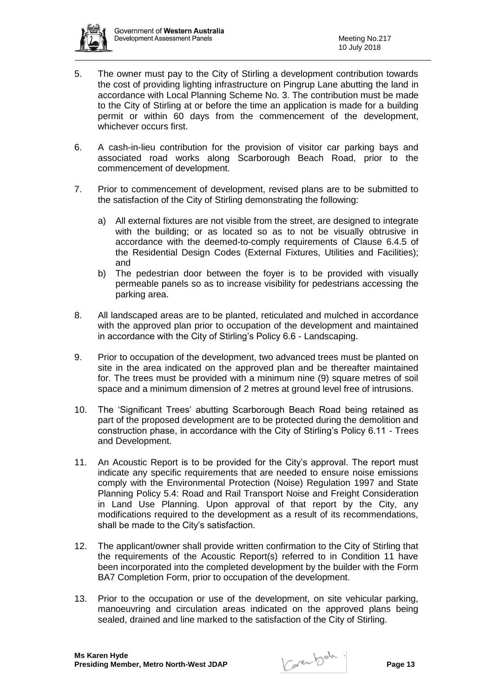

- 5. The owner must pay to the City of Stirling a development contribution towards the cost of providing lighting infrastructure on Pingrup Lane abutting the land in accordance with Local Planning Scheme No. 3. The contribution must be made to the City of Stirling at or before the time an application is made for a building permit or within 60 days from the commencement of the development, whichever occurs first.
- 6. A cash-in-lieu contribution for the provision of visitor car parking bays and associated road works along Scarborough Beach Road, prior to the commencement of development.
- 7. Prior to commencement of development, revised plans are to be submitted to the satisfaction of the City of Stirling demonstrating the following:
	- a) All external fixtures are not visible from the street, are designed to integrate with the building; or as located so as to not be visually obtrusive in accordance with the deemed-to-comply requirements of Clause 6.4.5 of the Residential Design Codes (External Fixtures, Utilities and Facilities); and
	- b) The pedestrian door between the foyer is to be provided with visually permeable panels so as to increase visibility for pedestrians accessing the parking area.
- 8. All landscaped areas are to be planted, reticulated and mulched in accordance with the approved plan prior to occupation of the development and maintained in accordance with the City of Stirling's Policy 6.6 - Landscaping.
- 9. Prior to occupation of the development, two advanced trees must be planted on site in the area indicated on the approved plan and be thereafter maintained for. The trees must be provided with a minimum nine (9) square metres of soil space and a minimum dimension of 2 metres at ground level free of intrusions.
- 10. The 'Significant Trees' abutting Scarborough Beach Road being retained as part of the proposed development are to be protected during the demolition and construction phase, in accordance with the City of Stirling's Policy 6.11 - Trees and Development.
- 11. An Acoustic Report is to be provided for the City's approval. The report must indicate any specific requirements that are needed to ensure noise emissions comply with the Environmental Protection (Noise) Regulation 1997 and State Planning Policy 5.4: Road and Rail Transport Noise and Freight Consideration in Land Use Planning. Upon approval of that report by the City, any modifications required to the development as a result of its recommendations, shall be made to the City's satisfaction.
- 12. The applicant/owner shall provide written confirmation to the City of Stirling that the requirements of the Acoustic Report(s) referred to in Condition 11 have been incorporated into the completed development by the builder with the Form BA7 Completion Form, prior to occupation of the development.
- 13. Prior to the occupation or use of the development, on site vehicular parking, manoeuvring and circulation areas indicated on the approved plans being sealed, drained and line marked to the satisfaction of the City of Stirling.

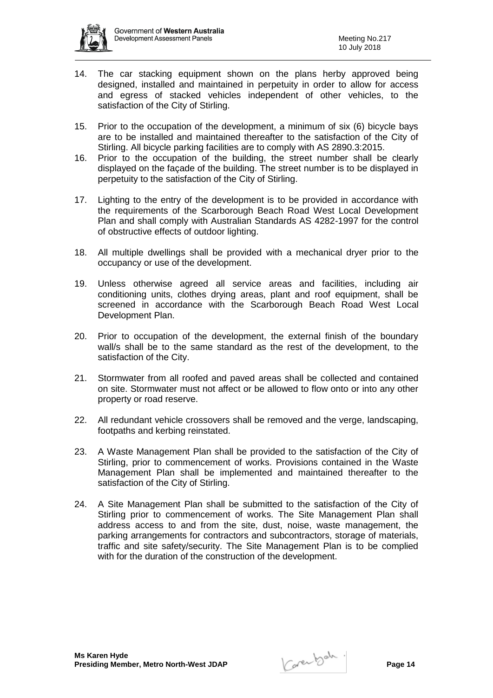

- 14. The car stacking equipment shown on the plans herby approved being designed, installed and maintained in perpetuity in order to allow for access and egress of stacked vehicles independent of other vehicles, to the satisfaction of the City of Stirling.
- 15. Prior to the occupation of the development, a minimum of six (6) bicycle bays are to be installed and maintained thereafter to the satisfaction of the City of Stirling. All bicycle parking facilities are to comply with AS 2890.3:2015.
- 16. Prior to the occupation of the building, the street number shall be clearly displayed on the façade of the building. The street number is to be displayed in perpetuity to the satisfaction of the City of Stirling.
- 17. Lighting to the entry of the development is to be provided in accordance with the requirements of the Scarborough Beach Road West Local Development Plan and shall comply with Australian Standards AS 4282-1997 for the control of obstructive effects of outdoor lighting.
- 18. All multiple dwellings shall be provided with a mechanical dryer prior to the occupancy or use of the development.
- 19. Unless otherwise agreed all service areas and facilities, including air conditioning units, clothes drying areas, plant and roof equipment, shall be screened in accordance with the Scarborough Beach Road West Local Development Plan.
- 20. Prior to occupation of the development, the external finish of the boundary wall/s shall be to the same standard as the rest of the development, to the satisfaction of the City.
- 21. Stormwater from all roofed and paved areas shall be collected and contained on site. Stormwater must not affect or be allowed to flow onto or into any other property or road reserve.
- 22. All redundant vehicle crossovers shall be removed and the verge, landscaping, footpaths and kerbing reinstated.
- 23. A Waste Management Plan shall be provided to the satisfaction of the City of Stirling, prior to commencement of works. Provisions contained in the Waste Management Plan shall be implemented and maintained thereafter to the satisfaction of the City of Stirling.
- 24. A Site Management Plan shall be submitted to the satisfaction of the City of Stirling prior to commencement of works. The Site Management Plan shall address access to and from the site, dust, noise, waste management, the parking arrangements for contractors and subcontractors, storage of materials, traffic and site safety/security. The Site Management Plan is to be complied with for the duration of the construction of the development.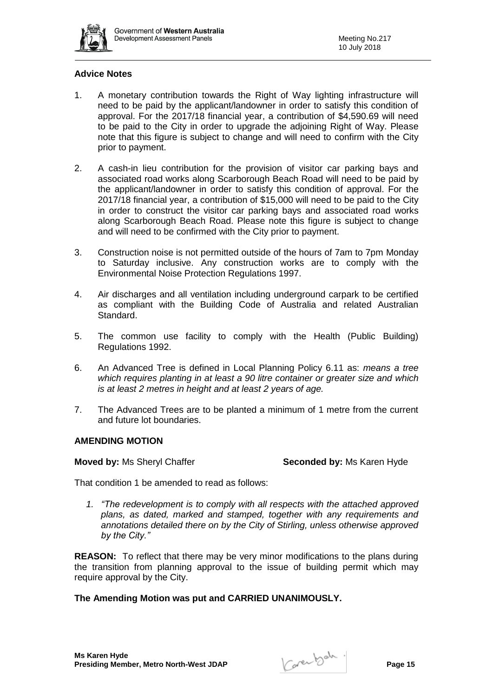

## **Advice Notes**

- 1. A monetary contribution towards the Right of Way lighting infrastructure will need to be paid by the applicant/landowner in order to satisfy this condition of approval. For the 2017/18 financial year, a contribution of \$4,590.69 will need to be paid to the City in order to upgrade the adjoining Right of Way. Please note that this figure is subject to change and will need to confirm with the City prior to payment.
- 2. A cash-in lieu contribution for the provision of visitor car parking bays and associated road works along Scarborough Beach Road will need to be paid by the applicant/landowner in order to satisfy this condition of approval. For the 2017/18 financial year, a contribution of \$15,000 will need to be paid to the City in order to construct the visitor car parking bays and associated road works along Scarborough Beach Road. Please note this figure is subject to change and will need to be confirmed with the City prior to payment.
- 3. Construction noise is not permitted outside of the hours of 7am to 7pm Monday to Saturday inclusive. Any construction works are to comply with the Environmental Noise Protection Regulations 1997.
- 4. Air discharges and all ventilation including underground carpark to be certified as compliant with the Building Code of Australia and related Australian Standard.
- 5. The common use facility to comply with the Health (Public Building) Regulations 1992.
- 6. An Advanced Tree is defined in Local Planning Policy 6.11 as: *means a tree which requires planting in at least a 90 litre container or greater size and which is at least 2 metres in height and at least 2 years of age.*
- 7. The Advanced Trees are to be planted a minimum of 1 metre from the current and future lot boundaries.

#### **AMENDING MOTION**

**Moved by:** Ms Sheryl Chaffer **Seconded by:** Ms Karen Hyde

That condition 1 be amended to read as follows:

*1. "The redevelopment is to comply with all respects with the attached approved plans, as dated, marked and stamped, together with any requirements and annotations detailed there on by the City of Stirling, unless otherwise approved by the City."*

**REASON:** To reflect that there may be very minor modifications to the plans during the transition from planning approval to the issue of building permit which may require approval by the City.

## **The Amending Motion was put and CARRIED UNANIMOUSLY.**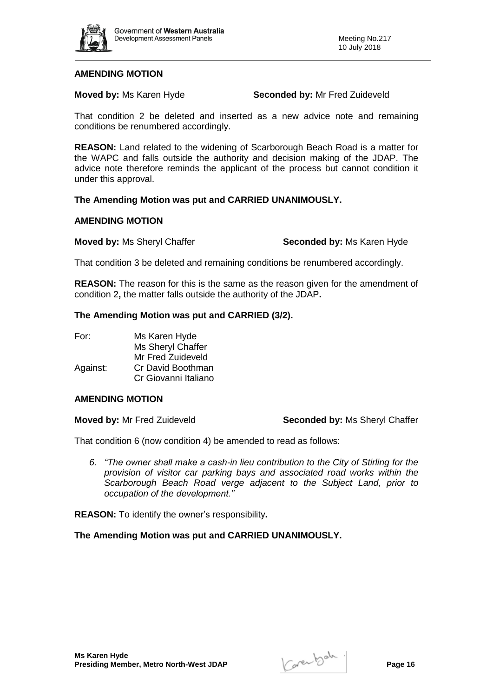

#### **AMENDING MOTION**

**Moved by:** Ms Karen Hyde **Seconded by:** Mr Fred Zuideveld

That condition 2 be deleted and inserted as a new advice note and remaining conditions be renumbered accordingly.

**REASON:** Land related to the widening of Scarborough Beach Road is a matter for the WAPC and falls outside the authority and decision making of the JDAP. The advice note therefore reminds the applicant of the process but cannot condition it under this approval.

### **The Amending Motion was put and CARRIED UNANIMOUSLY.**

#### **AMENDING MOTION**

**Moved by:** Ms Sheryl Chaffer **Seconded by:** Ms Karen Hyde

That condition 3 be deleted and remaining conditions be renumbered accordingly.

**REASON:** The reason for this is the same as the reason given for the amendment of condition 2**,** the matter falls outside the authority of the JDAP**.**

#### **The Amending Motion was put and CARRIED (3/2).**

| For:     | Ms Karen Hyde        |
|----------|----------------------|
|          | Ms Sheryl Chaffer    |
|          | Mr Fred Zuideveld    |
| Against: | Cr David Boothman    |
|          | Cr Giovanni Italiano |

#### **AMENDING MOTION**

**Moved by:** Mr Fred Zuideveld **Seconded by:** Ms Sheryl Chaffer

That condition 6 (now condition 4) be amended to read as follows:

*6. "The owner shall make a cash-in lieu contribution to the City of Stirling for the provision of visitor car parking bays and associated road works within the Scarborough Beach Road verge adjacent to the Subject Land, prior to occupation of the development."*

**REASON:** To identify the owner's responsibility**.**

#### **The Amending Motion was put and CARRIED UNANIMOUSLY.**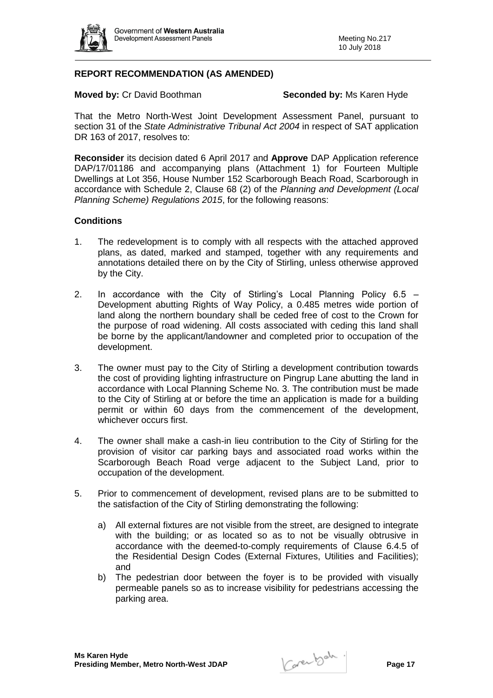

## **REPORT RECOMMENDATION (AS AMENDED)**

**Moved by: Cr David Boothman <b>Seconded by:** Ms Karen Hyde

That the Metro North-West Joint Development Assessment Panel, pursuant to section 31 of the *State Administrative Tribunal Act 2004* in respect of SAT application DR 163 of 2017, resolves to:

**Reconsider** its decision dated 6 April 2017 and **Approve** DAP Application reference DAP/17/01186 and accompanying plans (Attachment 1) for Fourteen Multiple Dwellings at Lot 356, House Number 152 Scarborough Beach Road, Scarborough in accordance with Schedule 2, Clause 68 (2) of the *Planning and Development (Local Planning Scheme) Regulations 2015*, for the following reasons:

## **Conditions**

- 1. The redevelopment is to comply with all respects with the attached approved plans, as dated, marked and stamped, together with any requirements and annotations detailed there on by the City of Stirling, unless otherwise approved by the City.
- 2. In accordance with the City of Stirling's Local Planning Policy 6.5 Development abutting Rights of Way Policy, a 0.485 metres wide portion of land along the northern boundary shall be ceded free of cost to the Crown for the purpose of road widening. All costs associated with ceding this land shall be borne by the applicant/landowner and completed prior to occupation of the development.
- 3. The owner must pay to the City of Stirling a development contribution towards the cost of providing lighting infrastructure on Pingrup Lane abutting the land in accordance with Local Planning Scheme No. 3. The contribution must be made to the City of Stirling at or before the time an application is made for a building permit or within 60 days from the commencement of the development, whichever occurs first.
- 4. The owner shall make a cash-in lieu contribution to the City of Stirling for the provision of visitor car parking bays and associated road works within the Scarborough Beach Road verge adjacent to the Subject Land, prior to occupation of the development.
- 5. Prior to commencement of development, revised plans are to be submitted to the satisfaction of the City of Stirling demonstrating the following:
	- a) All external fixtures are not visible from the street, are designed to integrate with the building; or as located so as to not be visually obtrusive in accordance with the deemed-to-comply requirements of Clause 6.4.5 of the Residential Design Codes (External Fixtures, Utilities and Facilities); and
	- b) The pedestrian door between the foyer is to be provided with visually permeable panels so as to increase visibility for pedestrians accessing the parking area.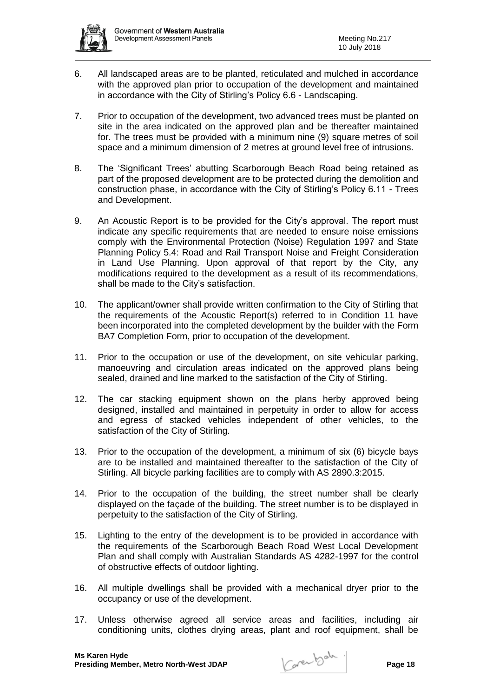

- 6. All landscaped areas are to be planted, reticulated and mulched in accordance with the approved plan prior to occupation of the development and maintained in accordance with the City of Stirling's Policy 6.6 - Landscaping.
- 7. Prior to occupation of the development, two advanced trees must be planted on site in the area indicated on the approved plan and be thereafter maintained for. The trees must be provided with a minimum nine (9) square metres of soil space and a minimum dimension of 2 metres at ground level free of intrusions.
- 8. The 'Significant Trees' abutting Scarborough Beach Road being retained as part of the proposed development are to be protected during the demolition and construction phase, in accordance with the City of Stirling's Policy 6.11 - Trees and Development.
- 9. An Acoustic Report is to be provided for the City's approval. The report must indicate any specific requirements that are needed to ensure noise emissions comply with the Environmental Protection (Noise) Regulation 1997 and State Planning Policy 5.4: Road and Rail Transport Noise and Freight Consideration in Land Use Planning. Upon approval of that report by the City, any modifications required to the development as a result of its recommendations, shall be made to the City's satisfaction.
- 10. The applicant/owner shall provide written confirmation to the City of Stirling that the requirements of the Acoustic Report(s) referred to in Condition 11 have been incorporated into the completed development by the builder with the Form BA7 Completion Form, prior to occupation of the development.
- 11. Prior to the occupation or use of the development, on site vehicular parking, manoeuvring and circulation areas indicated on the approved plans being sealed, drained and line marked to the satisfaction of the City of Stirling.
- 12. The car stacking equipment shown on the plans herby approved being designed, installed and maintained in perpetuity in order to allow for access and egress of stacked vehicles independent of other vehicles, to the satisfaction of the City of Stirling.
- 13. Prior to the occupation of the development, a minimum of six (6) bicycle bays are to be installed and maintained thereafter to the satisfaction of the City of Stirling. All bicycle parking facilities are to comply with AS 2890.3:2015.
- 14. Prior to the occupation of the building, the street number shall be clearly displayed on the façade of the building. The street number is to be displayed in perpetuity to the satisfaction of the City of Stirling.
- 15. Lighting to the entry of the development is to be provided in accordance with the requirements of the Scarborough Beach Road West Local Development Plan and shall comply with Australian Standards AS 4282-1997 for the control of obstructive effects of outdoor lighting.
- 16. All multiple dwellings shall be provided with a mechanical dryer prior to the occupancy or use of the development.
- 17. Unless otherwise agreed all service areas and facilities, including air conditioning units, clothes drying areas, plant and roof equipment, shall be

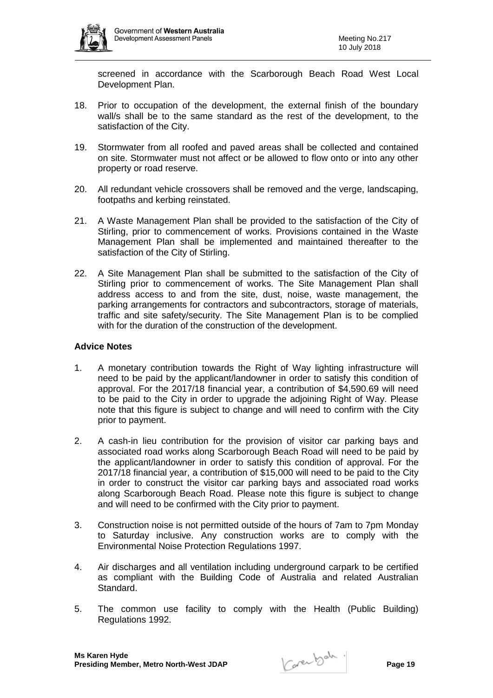

screened in accordance with the Scarborough Beach Road West Local Development Plan.

- 18. Prior to occupation of the development, the external finish of the boundary wall/s shall be to the same standard as the rest of the development, to the satisfaction of the City.
- 19. Stormwater from all roofed and paved areas shall be collected and contained on site. Stormwater must not affect or be allowed to flow onto or into any other property or road reserve.
- 20. All redundant vehicle crossovers shall be removed and the verge, landscaping, footpaths and kerbing reinstated.
- 21. A Waste Management Plan shall be provided to the satisfaction of the City of Stirling, prior to commencement of works. Provisions contained in the Waste Management Plan shall be implemented and maintained thereafter to the satisfaction of the City of Stirling.
- 22. A Site Management Plan shall be submitted to the satisfaction of the City of Stirling prior to commencement of works. The Site Management Plan shall address access to and from the site, dust, noise, waste management, the parking arrangements for contractors and subcontractors, storage of materials, traffic and site safety/security. The Site Management Plan is to be complied with for the duration of the construction of the development.

## **Advice Notes**

- 1. A monetary contribution towards the Right of Way lighting infrastructure will need to be paid by the applicant/landowner in order to satisfy this condition of approval. For the 2017/18 financial year, a contribution of \$4,590.69 will need to be paid to the City in order to upgrade the adjoining Right of Way. Please note that this figure is subject to change and will need to confirm with the City prior to payment.
- 2. A cash-in lieu contribution for the provision of visitor car parking bays and associated road works along Scarborough Beach Road will need to be paid by the applicant/landowner in order to satisfy this condition of approval. For the 2017/18 financial year, a contribution of \$15,000 will need to be paid to the City in order to construct the visitor car parking bays and associated road works along Scarborough Beach Road. Please note this figure is subject to change and will need to be confirmed with the City prior to payment.
- 3. Construction noise is not permitted outside of the hours of 7am to 7pm Monday to Saturday inclusive. Any construction works are to comply with the Environmental Noise Protection Regulations 1997.
- 4. Air discharges and all ventilation including underground carpark to be certified as compliant with the Building Code of Australia and related Australian Standard.
- 5. The common use facility to comply with the Health (Public Building) Regulations 1992.